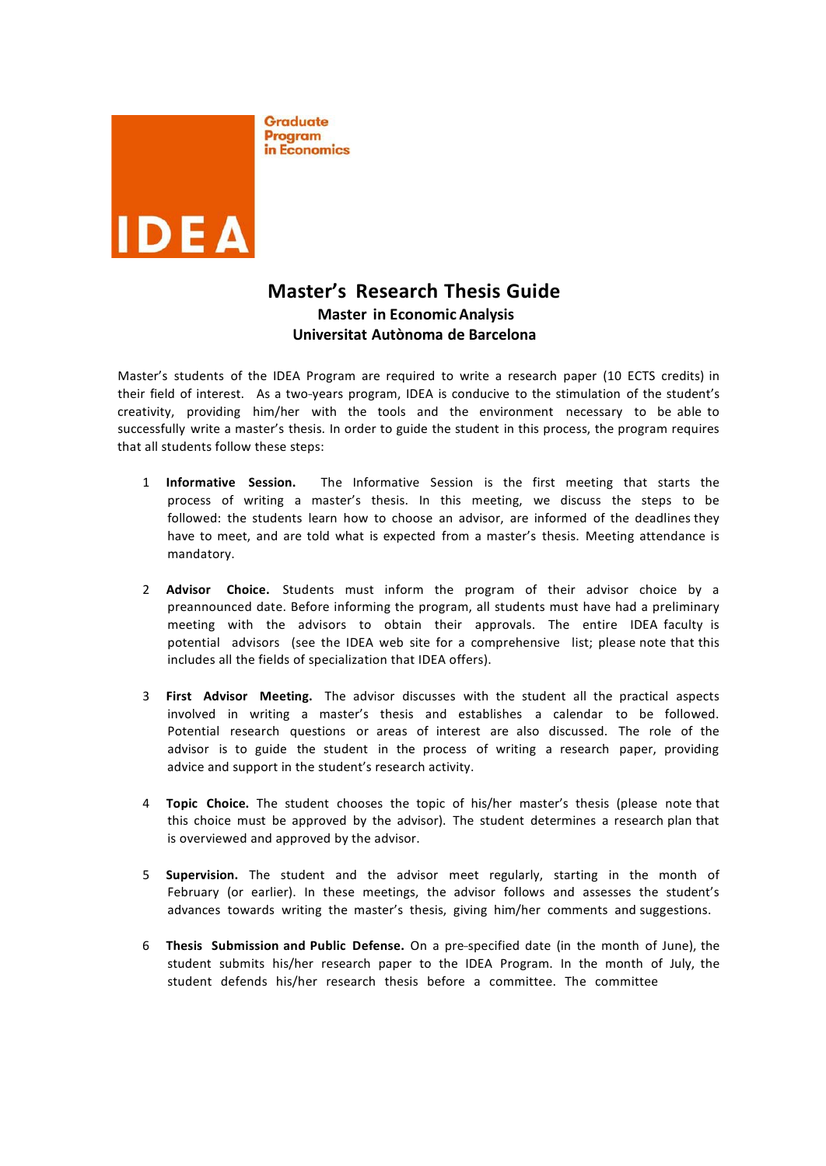

Graduate Program in Economics

# **Master's Research Thesis Guide Master in Economic Analysis Universitat Autònoma de Barcelona**

Master's students of the IDEA Program are required to write a research paper (10 ECTS credits) in their field of interest. As a two-years program, IDEA is conducive to the stimulation of the student's creativity, providing him/her with the tools and the environment necessary to be able to successfully write a master's thesis. In order to guide the student in this process, the program requires that all students follow these steps:

- 1 **Informative Session.** The Informative Session is the first meeting that starts the process of writing a master's thesis. In this meeting, we discuss the steps to be followed: the students learn how to choose an advisor, are informed of the deadlines they have to meet, and are told what is expected from a master's thesis. Meeting attendance is mandatory.
- 2 **Advisor Choice.** Students must inform the program of their advisor choice by a preannounced date. Before informing the program, all students must have had a preliminary meeting with the advisors to obtain their approvals. The entire IDEA faculty is potential advisors (see the IDEA web site for a comprehensive list; please note that this includes all the fields of specialization that IDEA offers).
- 3 **First Advisor Meeting.** The advisor discusses with the student all the practical aspects involved in writing a master's thesis and establishes a calendar to be followed. Potential research questions or areas of interest are also discussed. The role of the advisor is to guide the student in the process of writing a research paper, providing advice and support in the student's research activity.
- 4 **Topic Choice.** The student chooses the topic of his/her master's thesis (please note that this choice must be approved by the advisor). The student determines a research plan that is overviewed and approved by the advisor.
- 5 **Supervision.** The student and the advisor meet regularly, starting in the month of February (or earlier). In these meetings, the advisor follows and assesses the student's advances towards writing the master's thesis, giving him/her comments and suggestions.
- 6 **Thesis Submission and Public Defense.** On a pre‐‐‐specified date (in the month of June), the student submits his/her research paper to the IDEA Program. In the month of July, the student defends his/her research thesis before a committee. The committee